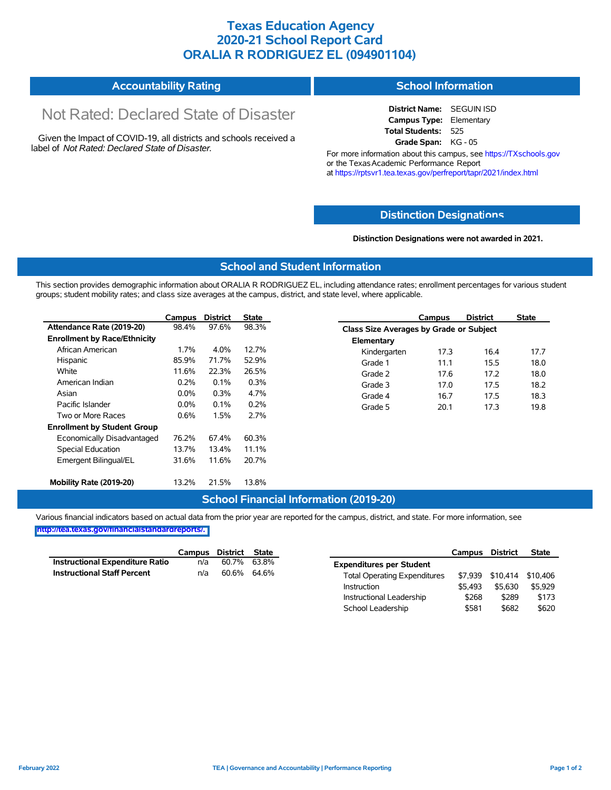# **Texas Education Agency 2020-21 School Report Card ORALIA R RODRIGUEZ EL (094901104)**

#### **Accountability Rating School Information**

# Not Rated: Declared State of Disaster

Given the Impact of COVID-19, all districts and schools received a label of *Not Rated: Declared State of Disaster.*

**District Name:** SEGUIN ISD **Campus Type:** Elementary **Total Students:** 525 **Grade Span:** KG - 05

For more information about this campus, see https://TXschools.gov or the Texas Academic Performance Report at https://rptsvr1.tea.texas.gov/perfreport/tapr/2021/index.html

### **Distinction Designat[ions](https://TXschools.gov)**

**Distinction Designations were not awarded in 2021.**

School Leadership  $$581$  \$682 \$620

### **School and Student Information**

This section provides demographic information about ORALIA R RODRIGUEZ EL, including attendance rates; enrollment percentages for various student groups; student mobility rates; and class size averages at the campus, district, and state level, where applicable.

|                                     | Campus  | <b>District</b> | <b>State</b> |              | Campus                                  | <b>District</b> | <b>State</b> |  |  |
|-------------------------------------|---------|-----------------|--------------|--------------|-----------------------------------------|-----------------|--------------|--|--|
| Attendance Rate (2019-20)           | 98.4%   | 97.6%           | 98.3%        |              | Class Size Averages by Grade or Subject |                 |              |  |  |
| <b>Enrollment by Race/Ethnicity</b> |         |                 |              | Elementary   |                                         |                 |              |  |  |
| African American                    | $1.7\%$ | 4.0%            | 12.7%        | Kindergarten | 17.3                                    | 16.4            | 17.7         |  |  |
| Hispanic                            | 85.9%   | 71.7%           | 52.9%        | Grade 1      | 11.1                                    | 15.5            | 18.0         |  |  |
| White                               | 11.6%   | 22.3%           | 26.5%        | Grade 2      | 17.6                                    | 17.2            | 18.0         |  |  |
| American Indian                     | 0.2%    | 0.1%            | 0.3%         | Grade 3      | 17.0                                    | 17.5            | 18.2         |  |  |
| Asian                               | $0.0\%$ | 0.3%            | 4.7%         | Grade 4      | 16.7                                    | 17.5            | 18.3         |  |  |
| Pacific Islander                    | $0.0\%$ | 0.1%            | 0.2%         | Grade 5      | 20.1                                    | 17.3            | 19.8         |  |  |
| Two or More Races                   | 0.6%    | 1.5%            | 2.7%         |              |                                         |                 |              |  |  |
| <b>Enrollment by Student Group</b>  |         |                 |              |              |                                         |                 |              |  |  |
| Economically Disadvantaged          | 76.2%   | 67.4%           | 60.3%        |              |                                         |                 |              |  |  |
| Special Education                   | 13.7%   | 13.4%           | 11.1%        |              |                                         |                 |              |  |  |
| Emergent Bilingual/EL               | 31.6%   | 11.6%           | 20.7%        |              |                                         |                 |              |  |  |
|                                     |         |                 |              |              |                                         |                 |              |  |  |
| Mobility Rate (2019-20)             | 13.2%   | 21.5%           | 13.8%        |              |                                         |                 |              |  |  |

### **School Financial Information (2019-20)**

Various financial indicators based on actual data from the prior year are reported for the campus, district, and state. For more information, see

**[http://tea.texas.gov/financialstandardreports/.](http://tea.texas.gov/financialstandardreports/)**

|                                        | Campus | District | State |                                     | Campus  | <b>District</b>  | <b>State</b> |
|----------------------------------------|--------|----------|-------|-------------------------------------|---------|------------------|--------------|
| <b>Instructional Expenditure Ratio</b> | n/a    | 60.7%    | 63.8% | <b>Expenditures per Student</b>     |         |                  |              |
| <b>Instructional Staff Percent</b>     | n/a    | 60.6%    | 64.6% | <b>Total Operating Expenditures</b> |         | \$7,939 \$10,414 | \$10.406     |
|                                        |        |          |       | Instruction                         | \$5.493 | \$5.630          | \$5.929      |
|                                        |        |          |       | Instructional Leadership            | \$268   | \$289            | \$173        |